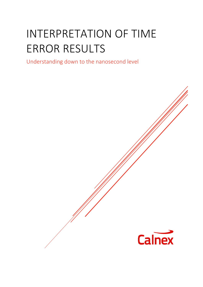# INTERPRETATION OF TIME ERROR RESULTS

Understanding down to the nanosecond level

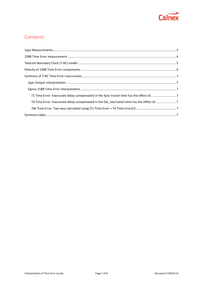

#### **Contents**

| T4 Time Error: Inaccurate delay compensated in the Del_req transit time has the effect of; 7 |  |
|----------------------------------------------------------------------------------------------|--|
|                                                                                              |  |
|                                                                                              |  |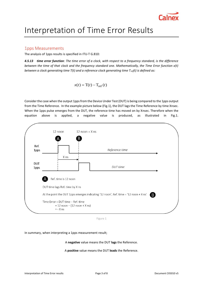

## Interpretation of Time Error Results

#### <span id="page-2-0"></span>1pps Measurements

The analysis of 1pps results is specified in ITU-T G.810:

*4.5.13 time error function: The time error of a clock, with respect to a frequency standard, is the difference between the time of that clock and the frequency standard one. Mathematically, the Time Error function x(t) between a clock generating time T(t) and a reference clock generating time Tref(t) is defined as:*

$$
x(t) = T(t) - T_{\text{ref}}(t)
$$

Consider the case when the output 1pps from the Device Under Test (DUT) is being compared to the 1pps output from the Time Reference. In the example picture below (Fig.1), the DUT lags the Time Reference by time Xnsec. When the 1pps pulse emerges from the DUT, the reference time has moved on by Xnsec. Therefore when the equation above is applied, a negative value is produced, as illustrated in Fig.1.



Figure 1

In summary, when interpreting a 1pps measurement result;

A **negative** value means the DUT **lags** the Reference.

A **positive** value means the DUT **leads** the Reference.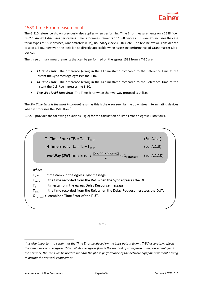

#### <span id="page-3-0"></span>1588 Time Error measurement

The G.810 reference shown previously also applies when performing Time Error measurements on a 1588 flow. G.8273 Annex A discusses performing Time Error measurements on 1588 devices. This annex discusses the case for all types of 1588 devices, Grandmasters (GM), Boundary clocks (T-BC), etc. The text below will consider the case of a T-BC, however, the logic is also directly applicable when assessing performance of Grandmaster Clock devices.

The three primary measurements that can be performed on the egress 1588 from a T-BC are;

- T1 Time Error: The difference (error) in the T1 timestamp compared to the Reference Time at the instant the Sync message egresses the T-BC.
- *T4 Time Error*: The difference (error) in the T4 timestamp compared to the Reference Time at the instant the Del\_Req ingresses the T-BC.
- *Two Way (2W) Time Error*: The Time Error when the two-way protocol is utilised.

The *2W Time Error is the most important result* as this is the error seen by the downstream terminating devices when it processes the 1588 flow.<sup>1</sup>

G.8273 provides the following equations (Fig.2) for the calculation of Time Error on egress 1588 flows.

T1 Time Error:  $TE_1 = T_1 - T_{1RFF}$  $(Eq. A.1.1)$ **T4 Time Error: TE<sub>4</sub> = T<sub>4</sub> – T<sub>4RFF</sub>** (Eq. A.1.3) **Two-Way (2W) Time Error :**  $\frac{|\langle TE_1(n)\rangle + \langle TE_4(m)\rangle|}{2} < X_{\text{constant}}$ (Eq. A.1.10) where  $T_1 =$ timestamp in the egress Sync message. the time recorded from the Ref. when the Sync egresses the DUT.  $T_{1REF}$  =  $T<sub>a</sub>$  = timestamp in the egress Delay Response message. the time recorded from the Ref. when the Delay Request ingresses the DUT.  $T_{4RFF}$  =  $X_{constant}$  = combined Time Error of the DUT.

#### Figure 2

1

<sup>&</sup>lt;sup>1</sup>It is also important to verify that the Time Error produced on the 1pps output from a T-BC accurately reflects *the Time Error on the egress 1588. While the egress flow is the method of transferring time, once deployed in the network, the 1pps will be used to monitor the phase performance of the network equipment without having to disrupt the network connections.*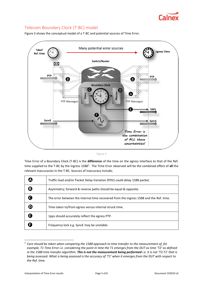

#### <span id="page-4-0"></span>Telecom Boundary Clock (T-BC) model

Figure 3 shows the conceptual model of a T-BC and potential sources of Time Error.



|  |  | <br>n sa |
|--|--|----------|

Time Error of a Boundary Clock (T-BC) is the **difference** of the time on the egress interface to that of the Ref. time supplied to the T-BC by the ingress 1588<sup>2</sup>. The Time Error observed will be the combined effect of all the relevant inaccuracies in the T-BC. Sources of inaccuracy include;

|   | Traffic load and/or Packet Delay Variation (PDV) could delay 1588 packet.              |
|---|----------------------------------------------------------------------------------------|
| ® | Asymmetry; forward & reverse paths should be equal & opposite.                         |
|   | The error between the internal time recovered from the ingress 1588 and the Ref. time. |
|   | Time taken to/from egress versus internal struck time.                                 |
|   | 1pps should accurately reflect the egress PTP.                                         |
|   | Frequency lock e.g. SyncE may be unstable.                                             |

<sup>2</sup> *Care should be taken when comparing the 1588 approach to time transfer to the measurement of, for example, T1 Time Error i.e. considering the point in time the T1 emerges from the DUT as time 'T2' as defined in the 1588 time transfer algorithm. This is not the measurement being performed i.e. it is not 'T2-T1' that is being assessed. What is being assessed is the accuracy of 'T1' when it emerges from the DUT with respect to the Ref. time.*

1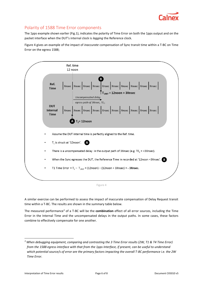

#### <span id="page-5-0"></span>Polarity of 1588 Time Error components

The 1pps example shown earlier (Fig.1), indicates the polarity of Time Error on both the 1pps output and on the packet interface when the DUT's internal clock is *lagging* the Reference clock.

Figure 4 gives an example of the impact of *inaccurate* compensation of Sync transit time within a T-BC on Time Error on the egress 1588;



A similar exercise can be performed to assess the impact of inaccurate compensation of Delay Request transit time within a T-BC. The results are shown in the summary table below.

The measured performance<sup>3</sup> of a T-BC will be the **combination** effect of all error sources, including the Time Error in the Internal Time and the uncompensated delays in the output paths. In some cases, these factors combine to effectively compensate for one another.

**.** 

*<sup>3</sup> When debugging equipment, comparing and contrasting the 3 Time Error results (2W, T1 & T4 Time Error) from the 1588 egress interface with that from the 1pps Interface, if present, can be useful to understand which potential source/s of error are the primary factors impacting the overall T-BC performance i.e. the 2W Time Error.*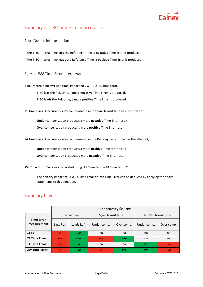

#### <span id="page-6-0"></span>Summary of T-BC Time Error inaccuracies

<span id="page-6-1"></span>1pps Output interpretation

If the T-BC Internal time **lags** the Reference Time, a **negative** Time Error is produced. If the T-BC Internal time **leads** the Reference Time, a **positive** Time Error is produced.

<span id="page-6-2"></span>Egress 1588 Time Error interpretation

T-BC Internal time wrt Ref. time, impact on 2W, T1 & T4 Time Error. T-BC **lags** the Ref. time, a more **negative** Time Error is produced.

T-BC **leads** the Ref. time, a more **positive** Time Error is produced.

<span id="page-6-3"></span>T1 Time Error: Inaccurate delay compensated in the Sync transit time has the effect of;

**Under** compensation produces a more **negative** Time Error result.

**Over** compensation produces a more **positive** Time Error result.

<span id="page-6-4"></span>T4 Time Error: Inaccurate delay compensated in the Del\_req transit time has the effect of;

**Under** compensation produces a more **positive** Time Error result.

**Over** compensation produces a more **negative** Time Error result.

<span id="page-6-5"></span>2W Time Error: Two-way calculated using (T1 Time Error + T4 Time Error)/2.

The polarity impact of T1 & T4 Time error on 2W Time Error can be deduced by applying the above statements to this equation.

#### <span id="page-6-6"></span>Summary table

|                                  | <b>Inaccuracy Source</b> |            |                    |            |                      |            |  |  |  |
|----------------------------------|--------------------------|------------|--------------------|------------|----------------------|------------|--|--|--|
|                                  | Internal time            |            | Sync. transit time |            | Del Req transit time |            |  |  |  |
| <b>Time Error</b><br>measurement | Lags Ref.                | Leads Ref. | Under comp.        | Over comp. | Under comp.          | Over comp. |  |  |  |
| 1pps                             | $-ve$                    | $+ve$      | na                 | na         | na                   | na         |  |  |  |
| <b>T1 Time Error</b>             | $-ve$                    | $+ve$      | $-ve$              | $+ve$      | na                   | na         |  |  |  |
| <b>T4 Time Error</b>             | $-ve$                    | $+ve$      | na                 | na         | $+ve$                | $-ve$      |  |  |  |
| <b>2W Time Error</b>             | $-ve$                    | $+ve$      | $-ve$              | $+ve$      | $+ve$                | $-ve$      |  |  |  |